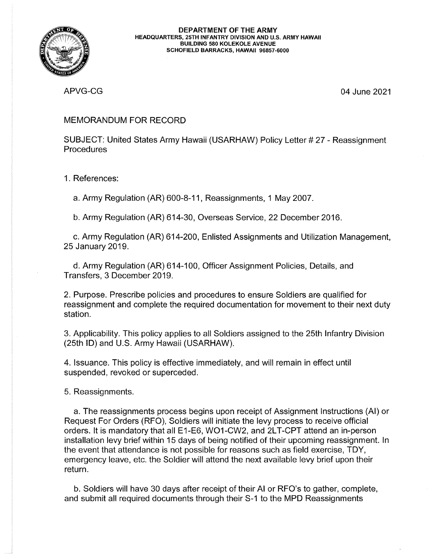

APVG-CG 04 June 2021

## MEMORANDUM FOR RECORD

SUBJECT: United States Army Hawaii (USARHAW) Policy Letter # 27 - Reassignment **Procedures** 

1. References:

a. Army Regulation (AR) 600-8-11, Reassignments, <sup>1</sup> May 2007.

b. Army Regulation (AR) 614-30, Overseas Service, 22 December 2016.

c. Army Regulation (AR) 614-200, Enlisted Assignments and Utilization Management, 25 January 2019.

d. Army Regulation (AR) 614-1 00, Officer Assignment Policies, Details, and Transfers, 3 December 2019.

2. Purpose. Prescribe policies and procedures to ensure Soldiers are qualified for reassignment and complete the required documentation for movement to their next duty station.

3. Applicability. This policy applies to all Soldiers assigned to the 25th Infantry Division (25th ID) and U.S. Army Hawaii (USARHAW).

4. Issuance. This policy is effective immediately, and will remain in effect until suspended, revoked or superceded.

5. Reassignments.

a. The reassignments process begins upon receipt of Assignment Instructions (Al) or Request For Orders (RFO), Soldiers will initiate the levy process to receive official orders. It is mandatory that all E1-E6, WOI-CW2, and 2LT-CPT attend an in-person installation levy brief within 15 days of being notified of their upcoming reassignment. In the event that attendance is not possible for reasons such as field exercise, TDY, emergency leave, etc. the Soldier will attend the next available levy brief upon their return.

b. Soldiers will have 30 days after receipt of their Al or RFO's to gather, complete, and submit all required documents through their 5-1 to the MPD Reassignments